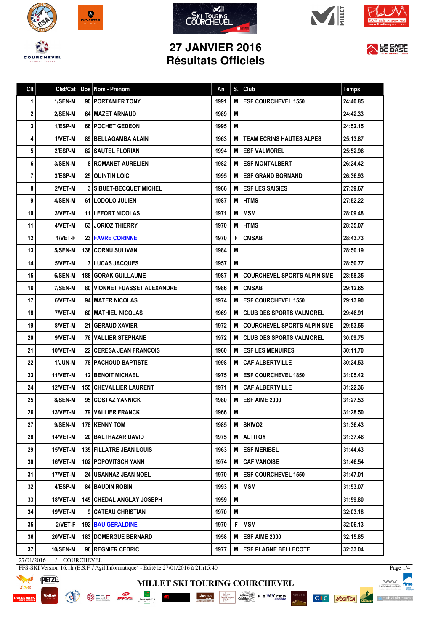









## **27 JANVIER 2016 Résultats Officiels**



| Clt | Clst/Cat        | Dos Nom - Prénom                      | An   | S. | Club                             | <b>Temps</b> |
|-----|-----------------|---------------------------------------|------|----|----------------------------------|--------------|
| 1   | 1/SEN-M         | 90 PORTANIER TONY                     | 1991 | М  | <b>ESF COURCHEVEL 1550</b>       | 24:40.85     |
| 2   | 2/SEN-M         | 64   MAZET ARNAUD                     | 1989 | M  |                                  | 24:42.33     |
| 3   | 1/ESP-M         | <b>66   POCHET GEDEON</b>             | 1995 | M  |                                  | 24:52.15     |
| 4   | 1/VET-M         | 89   BELLAGAMBA ALAIN                 | 1963 | М  | <b>TEAM ECRINS HAUTES ALPES</b>  | 25:13.87     |
| 5   | 2/ESP-M         | <b>82   SAUTEL FLORIAN</b>            | 1994 | M  | ESF VALMOREL                     | 25:52.96     |
| 6   | 3/SEN-M         | <b>8 ROMANET AURELIEN</b>             | 1982 | M  | <b>I ESF MONTALBERT</b>          | 26:24.42     |
| 7   | <b>3/ESP-M</b>  | <b>25 QUINTIN LOIC</b>                | 1995 | M  | <b>I ESF GRAND BORNAND</b>       | 26:36.93     |
| 8   | 2/VET-M         | <b>3   SIBUET-BECQUET MICHEL</b>      | 1966 | м  | <b>ESF LES SAISIES</b>           | 27:39.67     |
| 9   | 4/SEN-M         | 61 LODOLO JULIEN                      | 1987 | M  | <b>IHTMS</b>                     | 27:52.22     |
| 10  | 3/VET-M         | <b>11 LEFORT NICOLAS</b>              | 1971 | M  | <b>MSM</b>                       | 28:09.48     |
| 11  | 4/VET-M         | <b>63 JORIOZ THIERRY</b>              | 1970 | M  | <b>HTMS</b>                      | 28:35.07     |
| 12  | 1/VET-F         | <b>23 FAVRE CORINNE</b>               | 1970 | F  | <b>CMSAB</b>                     | 28:43.73     |
| 13  | 5/SEN-M         | <b>138 CORNU SULIVAN</b>              | 1984 | M  |                                  | 28:50.19     |
| 14  | 5/VET-M         | <b>7ILUCAS JACQUES</b>                | 1957 | M  |                                  | 28:50.77     |
| 15  | 6/SEN-M         | <b>188 GORAK GUILLAUME</b>            | 1987 | М  | COURCHEVEL SPORTS ALPINISME      | 28:58.35     |
| 16  | 7/SEN-M         | <b>80 I VIONNET FUASSET ALEXANDRE</b> | 1986 | M  | <b>CMSAB</b>                     | 29:12.65     |
| 17  | 6/VET-M         | 94   MATER NICOLAS                    | 1974 | М  | <b>IESF COURCHEVEL 1550</b>      | 29:13.90     |
| 18  | 7/VET-M         | 60   MATHIEU NICOLAS                  | 1969 | M  | CLUB DES SPORTS VALMOREL         | 29:46.91     |
| 19  | 8/VET-M         | <b>21 GERAUD XAVIER</b>               | 1972 | M  | COURCHEVEL SPORTS ALPINISME      | 29:53.55     |
| 20  | 9/VET-M         | <b>76 VALLIER STEPHANE</b>            | 1972 | М  | <b>ICLUB DES SPORTS VALMOREL</b> | 30:09.75     |
| 21  | 10/VET-M        | <b>22   CERESA JEAN FRANCOIS</b>      | 1960 | м  | <b>IESF LES MENUIRES</b>         | 30:11.70     |
| 22  | <b>1/JUN-M</b>  | <b>78   PACHOUD BAPTISTE</b>          | 1998 | М  | CAF ALBERTVILLE                  | 30:24.53     |
| 23  | 11/VET-M        | <b>12 I BENOIT MICHAEL</b>            | 1975 | М  | <b>ESF COURCHEVEL 1850</b>       | 31:05.42     |
| 24  | <b>12/VET-M</b> | <b>155 CHEVALLIER LAURENT</b>         | 1971 | M  | <b>CAF ALBERTVILLE</b>           | 31:22.36     |
| 25  | 8/SEN-M         | 95 COSTAZ YANNICK                     | 1980 | М  | <b>ESF AIME 2000</b>             | 31:27.53     |
| 26  | 13/VET-MI       | <b>79 VALLIER FRANCK</b>              | 1966 | М  |                                  | 31:28.50     |
| 27  | $9/SEM-M$       | 178 KENNY TOM                         | 1985 |    | M SKIVO <sub>2</sub>             | 31:36.43     |
| 28  | 14/VET-M        | 20 BALTHAZAR DAVID                    | 1975 | M  | <b>ALTITOY</b>                   | 31:37.46     |
| 29  | 15/VET-M        | <b>135 FILLATRE JEAN LOUIS</b>        | 1963 | M  | <b>ESF MERIBEL</b>               | 31:44.43     |
| 30  | 16/VET-M        | 102 POPOVITSCH YANN                   | 1974 | M  | <b>CAF VANOISE</b>               | 31:46.54     |
| 31  | 17/VET-M        | <b>24   USANNAZ JEAN NOEL</b>         | 1970 | M  | <b>ESF COURCHEVEL 1550</b>       | 31:47.01     |
| 32  | 4/ESP-M         | 84 BAUDIN ROBIN                       | 1993 | M  | <b>MSM</b>                       | 31:53.07     |
| 33  | 18/VET-M        | <b>145 CHEDAL ANGLAY JOSEPH</b>       | 1959 | M  |                                  | 31:59.80     |
| 34  | 19/VET-M        | 9   CATEAU CHRISTIAN                  | 1970 | M  |                                  | 32:03.18     |
| 35  | 2/VET-F         | <b>192 BAU GERALDINE</b>              | 1970 | F  | <b>MSM</b>                       | 32:06.13     |
| 36  | 20/VET-M        | <b>183   DOMERGUE BERNARD</b>         | 1958 | M  | ESF AIME 2000                    | 32:15.85     |
| 37  | <b>10/SEN-M</b> | <b>96 REGNIER CEDRIC</b>              | 1977 | M  | <b>ESF PLAGNE BELLECOTE</b>      | 32:33.04     |

27/01/2016 / COURCHEVEL

FFS-SKI Version 16.1h (E.S.F. / Agil Informatique) - Edité le 27/01/2016 à 21h15:40





**MILLET SKI TOURING COURCHEVEL**

1511. NO.

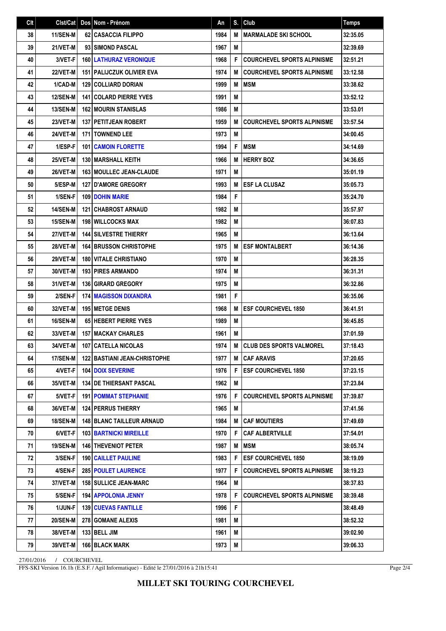| C <sub>It</sub> | Clst/Cat        | Dos Nom - Prénom                      | An   | S. | Club                               | <b>Temps</b> |
|-----------------|-----------------|---------------------------------------|------|----|------------------------------------|--------------|
| 38              | 11/SEN-M        | <b>62 CASACCIA FILIPPO</b>            | 1984 | M  | I MARMALADE SKI SCHOOL             | 32:35.05     |
| 39              | 21/VET-M        | 93 SIMOND PASCAL                      | 1967 | M  |                                    | 32:39.69     |
| 40              | 3/VET-F         | <b>160 LATHURAZ VERONIQUE</b>         | 1968 | F  | <b>COURCHEVEL SPORTS ALPINISME</b> | 32:51.21     |
| 41              | 22/VET-M        | <b>151   PALIJCZUK OLIVIER EVA</b>    | 1974 | M  | <b>COURCHEVEL SPORTS ALPINISME</b> | 33:12.58     |
| 42              | 1/CAD-M         | 129 COLLIARD DORIAN                   | 1999 | M  | <b>IMSM</b>                        | 33:38.62     |
| 43              | <b>12/SEN-M</b> | <b>141 COLARD PIERRE YVES</b>         | 1991 | M  |                                    | 33:52.12     |
| 44              | <b>13/SEN-M</b> | <b>162 MOURIN STANISLAS</b>           | 1986 | M  |                                    | 33:53.01     |
| 45              | 23/VET-M        | 137 PETITJEAN ROBERT                  | 1959 | M  | <b>COURCHEVEL SPORTS ALPINISME</b> | 33:57.54     |
| 46              | 24/VET-M        | <b>171 TOWNEND LEE</b>                | 1973 | M  |                                    | 34:00.45     |
| 47              | 1/ESP-F         | <b>101 CAMOIN FLORETTE</b>            | 1994 | F  | <b>IMSM</b>                        | 34:14.69     |
| 48              | 25/VET-M        | 130 MARSHALL KEITH                    | 1966 | M  | <b>HERRY BOZ</b>                   | 34:36.65     |
| 49              | 26/VET-M        | <b>163   MOULLEC JEAN-CLAUDE</b>      | 1971 | M  |                                    | 35:01.19     |
| 50              | 5/ESP-M         | <b>127 D'AMORE GREGORY</b>            | 1993 | M  | <b>ESF LA CLUSAZ</b>               | 35:05.73     |
| 51              | 1/SEN-F         | <b>109 DOHIN MARIE</b>                | 1984 | F  |                                    | 35:24.70     |
| 52              | <b>14/SEN-M</b> | <b>121 CHABROST ARNAUD</b>            | 1982 | M  |                                    | 35:57.97     |
| 53              | <b>15/SEN-M</b> | <b>198 WILLCOCKS MAX</b>              | 1982 | M  |                                    | 36:07.83     |
| 54              | 27/VET-M        | <b>144 SILVESTRE THIERRY</b>          | 1965 | M  |                                    | 36:13.64     |
| 55              | 28/VET-M        | <b>164 BRUSSON CHRISTOPHE</b>         | 1975 | M  | <b>ESF MONTALBERT</b>              | 36:14.36     |
| 56              | 29/VET-M        | <b>180 VITALE CHRISTIANO</b>          | 1970 | M  |                                    | 36:28.35     |
| 57              | 30/VET-M        | <b>193 PIRES ARMANDO</b>              | 1974 | M  |                                    | 36:31.31     |
| 58              | 31/VET-M        | <b>136 GIRARD GREGORY</b>             | 1975 | M  |                                    | 36:32.86     |
| 59              | 2/SEN-F         | <b>174 MAGISSON DIXANDRA</b>          | 1981 | F  |                                    | 36:35.06     |
| 60              | 32/VET-M        | <b>195 IMETGE DENIS</b>               | 1968 | M  | <b>ESF COURCHEVEL 1850</b>         | 36:41.51     |
| 61              | 16/SEN-M        | 65 HEBERT PIERRE YVES                 | 1989 | M  |                                    | 36:45.85     |
| 62              | 33/VET-M        | <b>157 MACKAY CHARLES</b>             | 1961 | M  |                                    | 37:01.59     |
| 63              | 34/VET-M        | 107 CATELLA NICOLAS                   | 1974 | M  | <b>CLUB DES SPORTS VALMOREL</b>    | 37:18.43     |
| 64              | 17/SEN-M        | <b>122   BASTIANI JEAN-CHRISTOPHE</b> | 1977 |    | M CAF ARAVIS                       | 37:20.65     |
| 65              | 4/VET-F         | <b>104 DOIX SEVERINE</b>              | 1976 | F  | <b>ESF COURCHEVEL 1850</b>         | 37:23.15     |
| 66              | 35/VET-M        | <b>134 IDE THIERSANT PASCAL</b>       | 1962 | M  |                                    | 37:23.84     |
| 67              | 5/VET-F         | <b>191 POMMAT STEPHANIE</b>           | 1976 | F  | <b>COURCHEVEL SPORTS ALPINISME</b> | 37:39.87     |
| 68              | 36/VET-M        | <b>124 PERRUS THIERRY</b>             | 1965 | M  |                                    | 37:41.56     |
| 69              | <b>18/SEN-M</b> | 148 BLANC TAILLEUR ARNAUD             | 1984 | М  | CAF MOUTIERS                       | 37:49.69     |
| 70              | 6/VET-F         | <b>103 BARTNICKI MIREILLE</b>         | 1970 | F  | <b>CAF ALBERTVILLE</b>             | 37:54.01     |
| 71              | <b>19/SEN-M</b> | 146 THEVENIOT PETER                   | 1987 | M  | <b>IMSM</b>                        | 38:05.74     |
| 72              | 3/SEN-F         | <b>190 CAILLET PAULINE</b>            | 1983 | F  | <b>ESF COURCHEVEL 1850</b>         | 38:19.09     |
| 73              | 4/SEN-F         | 285 POULET LAURENCE                   | 1977 | F  | <b>COURCHEVEL SPORTS ALPINISME</b> | 38:19.23     |
| 74              | 37/VET-M        | <b>158 SULLICE JEAN-MARC</b>          | 1964 | M  |                                    | 38:37.83     |
| 75              | 5/SEN-F         | <b>194   APPOLONIA JENNY</b>          | 1978 | F  | <b>COURCHEVEL SPORTS ALPINISME</b> | 38:39.48     |
| 76              | 1/JUN-F         | <b>139   CUEVAS FANTILLE</b>          | 1996 | F  |                                    | 38:48.49     |
| 77              | <b>20/SEN-M</b> | <b>278 GOMANE ALEXIS</b>              | 1981 | M  |                                    | 38:52.32     |
| 78              | 38/VET-M        | 133   BELL JIM                        | 1961 | М  |                                    | 39:02.90     |
| 79              | <b>39/VET-M</b> | 166 BLACK MARK                        | 1973 | М  |                                    | 39:06.33     |

27/01/2016 / COURCHEVEL

FFS-SKI Version 16.1h (E.S.F. / Agil Informatique) - Edité le 27/01/2016 à 21h15:41

Page 2/4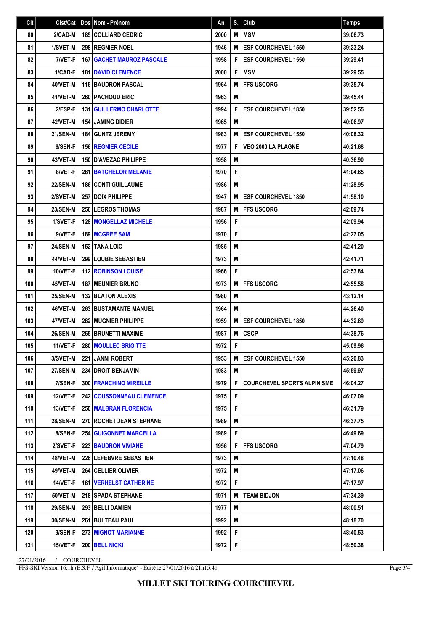| Clt | Clst/Cat        | Dos Nom - Prénom                   | An   | S. | Club                               | <b>Temps</b> |
|-----|-----------------|------------------------------------|------|----|------------------------------------|--------------|
| 80  | 2/CAD-M         | <b>185 COLLIARD CEDRIC</b>         | 2000 | M  | <b>MSM</b>                         | 39:06.73     |
| 81  | 1/SVET-M        | <b>298 REGNIER NOEL</b>            | 1946 | M  | <b>ESF COURCHEVEL 1550</b>         | 39:23.24     |
| 82  | 7/VET-F         | <b>167   GACHET MAUROZ PASCALE</b> | 1958 | F  | <b>ESF COURCHEVEL 1550</b>         | 39:29.41     |
| 83  | 1/CAD-F         | <b>181 DAVID CLEMENCE</b>          | 2000 | F  | <b>IMSM</b>                        | 39:29.55     |
| 84  | 40/VET-M        | 116 BAUDRON PASCAL                 | 1964 | M  | <b>IFFS USCORG</b>                 | 39:35.74     |
| 85  | 41/VET-M        | <b>260   PACHOUD ERIC</b>          | 1963 | M  |                                    | 39:45.44     |
| 86  | 2/ESP-F         | <b>131 GUILLERMO CHARLOTTE</b>     | 1994 | F  | <b>ESF COURCHEVEL 1850</b>         | 39:52.55     |
| 87  | 42/VET-M        | <b>154 JAMING DIDIER</b>           | 1965 | M  |                                    | 40:06.97     |
| 88  | <b>21/SEN-M</b> | 184 GUNTZ JEREMY                   | 1983 | M  | <b>ESF COURCHEVEL 1550</b>         | 40:08.32     |
| 89  | 6/SEN-F         | <b>156 REGNIER CECILE</b>          | 1977 | F  | <b>VEO 2000 LA PLAGNE</b>          | 40:21.68     |
| 90  | 43/VET-M        | <b>150 D'AVEZAC PHILIPPE</b>       | 1958 | M  |                                    | 40:36.90     |
| 91  | 8/VET-F         | <b>281 BATCHELOR MELANIE</b>       | 1970 | F  |                                    | 41:04.65     |
| 92  | <b>22/SEN-M</b> | <b>186 CONTI GUILLAUME</b>         | 1986 | M  |                                    | 41:28.95     |
| 93  | 2/SVET-M        | <b>257   DOIX PHILIPPE</b>         | 1947 | M  | <b>ESF COURCHEVEL 1850</b>         | 41:58.10     |
| 94  | <b>23/SEN-M</b> | <b>256 LEGROS THOMAS</b>           | 1987 | M  | <b>FFS USCORG</b>                  | 42:09.74     |
| 95  | 1/SVET-F        | <b>128 MONGELLAZ MICHELE</b>       | 1956 | F  |                                    | 42:09.94     |
| 96  | 9/VET-F         | 189 MCGREE SAM                     | 1970 | F  |                                    | 42:27.05     |
| 97  | <b>24/SEN-M</b> | <b>152 TANA LOIC</b>               | 1985 | M  |                                    | 42:41.20     |
| 98  | 44/VET-M        | 299 LOUBIE SEBASTIEN               | 1973 | M  |                                    | 42:41.71     |
| 99  | 10/VET-F        | <b>112 ROBINSON LOUISE</b>         | 1966 | F  |                                    | 42:53.84     |
| 100 | 45/VET-M        | <b>187 MEUNIER BRUNO</b>           | 1973 | M  | <b>IFFS USCORG</b>                 | 42:55.58     |
| 101 | <b>25/SEN-M</b> | <b>132 BLATON ALEXIS</b>           | 1980 | M  |                                    | 43:12.14     |
| 102 | 46/VET-M        | <b>263 BUSTAMANTE MANUEL</b>       | 1964 | M  |                                    | 44:26.40     |
| 103 | 47/VET-M        | 282 MUGNIER PHILIPPE               | 1959 | M  | <b>ESF COURCHEVEL 1850</b>         | 44:32.69     |
| 104 | 26/SEN-M        | <b>265 BRUNETTI MAXIME</b>         | 1987 | M  | <b>CSCP</b>                        | 44:38.76     |
| 105 | 11/VET-F        | 280 MOULLEC BRIGITTE               | 1972 | F  |                                    | 45:09.96     |
| 106 | 3/SVET-M        | 221 JANNI ROBERT                   | 1953 |    | M ESF COURCHEVEL 1550              | 45:20.83     |
| 107 | <b>27/SEN-M</b> | 234 DROIT BENJAMIN                 | 1983 | M  |                                    | 45:59.97     |
| 108 | 7/SEN-F         | 300 FRANCHINO MIREILLE             | 1979 | F  | <b>COURCHEVEL SPORTS ALPINISME</b> | 46:04.27     |
| 109 | 12/VET-F        | <b>242 COUSSONNEAU CLEMENCE</b>    | 1975 | F  |                                    | 46:07.09     |
| 110 | 13/VET-F        | <b>250 MALBRAN FLORENCIA</b>       | 1975 | F  |                                    | 46:31.79     |
| 111 | <b>28/SEN-M</b> | 270 ROCHET JEAN STEPHANE           | 1989 | M  |                                    | 46:37.75     |
| 112 | 8/SEN-F         | <b>254 GUIGONNET MARCELLA</b>      | 1989 | F  |                                    | 46:49.69     |
| 113 | 2/SVET-F        | <b>223 BAUDRON VIVIANE</b>         | 1956 | F  | <b>IFFS USCORG</b>                 | 47:04.79     |
| 114 | 48/VET-M        | 226 LEFEBVRE SEBASTIEN             | 1973 | M  |                                    | 47:10.48     |
| 115 | 49/VET-M        | 264   CELLIER OLIVIER              | 1972 | M  |                                    | 47:17.06     |
| 116 | 14/VET-F        | <b>161 VERHELST CATHERINE</b>      | 1972 | F  |                                    | 47:17.97     |
| 117 | 50/VET-M        | <b>218   SPADA STEPHANE</b>        | 1971 | M  | <b>TEAM BIDJON</b>                 | 47:34.39     |
| 118 | <b>29/SEN-M</b> | 293 BELLI DAMIEN                   | 1977 | M  |                                    | 48:00.51     |
| 119 | 30/SEN-M        | 261 BULTEAU PAUL                   | 1992 | M  |                                    | 48:18.70     |
| 120 | 9/SEN-F         | <b>273 MIGNOT MARIANNE</b>         | 1992 | F  |                                    | 48:40.53     |
| 121 | 15/VET-F        | 200 BELL NICKI                     | 1972 | F  |                                    | 48:50.38     |

27/01/2016 / COURCHEVEL

FFS-SKI Version 16.1h (E.S.F. / Agil Informatique) - Edité le 27/01/2016 à 21h15:41

Page 3/4